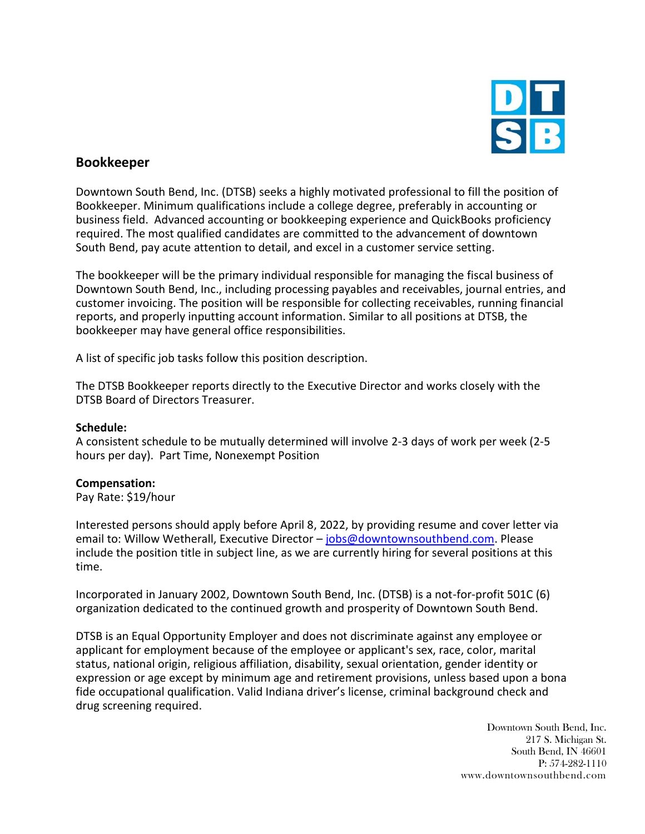

# **Bookkeeper**

Downtown South Bend, Inc. (DTSB) seeks a highly motivated professional to fill the position of Bookkeeper. Minimum qualifications include a college degree, preferably in accounting or business field. Advanced accounting or bookkeeping experience and QuickBooks proficiency required. The most qualified candidates are committed to the advancement of downtown South Bend, pay acute attention to detail, and excel in a customer service setting.

The bookkeeper will be the primary individual responsible for managing the fiscal business of Downtown South Bend, Inc., including processing payables and receivables, journal entries, and customer invoicing. The position will be responsible for collecting receivables, running financial reports, and properly inputting account information. Similar to all positions at DTSB, the bookkeeper may have general office responsibilities.

A list of specific job tasks follow this position description.

The DTSB Bookkeeper reports directly to the Executive Director and works closely with the DTSB Board of Directors Treasurer.

## **Schedule:**

A consistent schedule to be mutually determined will involve 2-3 days of work per week (2-5 hours per day). Part Time, Nonexempt Position

## **Compensation:**

Pay Rate: \$19/hour

Interested persons should apply before April 8, 2022, by providing resume and cover letter via email to: Willow Wetherall, Executive Director - [jobs@downtownsouthbend.com.](mailto:jobs@downtownsouthbend.com) Please include the position title in subject line, as we are currently hiring for several positions at this time.

Incorporated in January 2002, Downtown South Bend, Inc. (DTSB) is a not-for-profit 501C (6) organization dedicated to the continued growth and prosperity of Downtown South Bend.

DTSB is an Equal Opportunity Employer and does not discriminate against any employee or applicant for employment because of the employee or applicant's sex, race, color, marital status, national origin, religious affiliation, disability, sexual orientation, gender identity or expression or age except by minimum age and retirement provisions, unless based upon a bona fide occupational qualification. Valid Indiana driver's license, criminal background check and drug screening required.

> Downtown South Bend, Inc. 217 S. Michigan St. South Bend, IN 46601 P: 574-282-1110 www.downtownsouthbend.com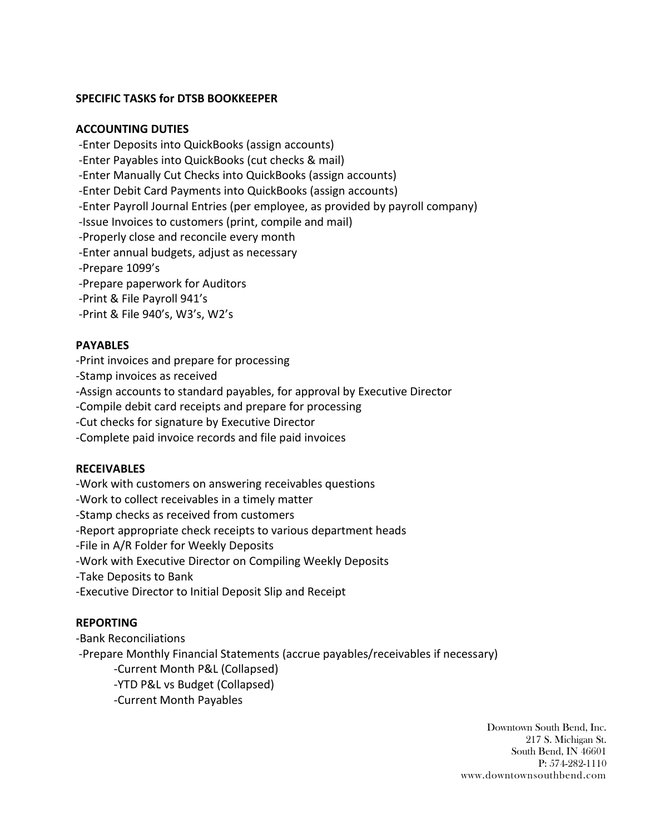# **SPECIFIC TASKS for DTSB BOOKKEEPER**

#### **ACCOUNTING DUTIES**

-Enter Deposits into QuickBooks (assign accounts)

-Enter Payables into QuickBooks (cut checks & mail)

-Enter Manually Cut Checks into QuickBooks (assign accounts)

-Enter Debit Card Payments into QuickBooks (assign accounts)

-Enter Payroll Journal Entries (per employee, as provided by payroll company)

-Issue Invoices to customers (print, compile and mail)

-Properly close and reconcile every month

-Enter annual budgets, adjust as necessary

-Prepare 1099's

-Prepare paperwork for Auditors

-Print & File Payroll 941's

-Print & File 940's, W3's, W2's

# **PAYABLES**

-Print invoices and prepare for processing

-Stamp invoices as received

-Assign accounts to standard payables, for approval by Executive Director

-Compile debit card receipts and prepare for processing

-Cut checks for signature by Executive Director

-Complete paid invoice records and file paid invoices

# **RECEIVABLES**

-Work with customers on answering receivables questions -Work to collect receivables in a timely matter -Stamp checks as received from customers -Report appropriate check receipts to various department heads -File in A/R Folder for Weekly Deposits -Work with Executive Director on Compiling Weekly Deposits -Take Deposits to Bank -Executive Director to Initial Deposit Slip and Receipt

## **REPORTING**

-Bank Reconciliations -Prepare Monthly Financial Statements (accrue payables/receivables if necessary) -Current Month P&L (Collapsed) -YTD P&L vs Budget (Collapsed) -Current Month Payables

> Downtown South Bend, Inc. 217 S. Michigan St. South Bend, IN 46601 P: 574-282-1110 www.downtownsouthbend.com